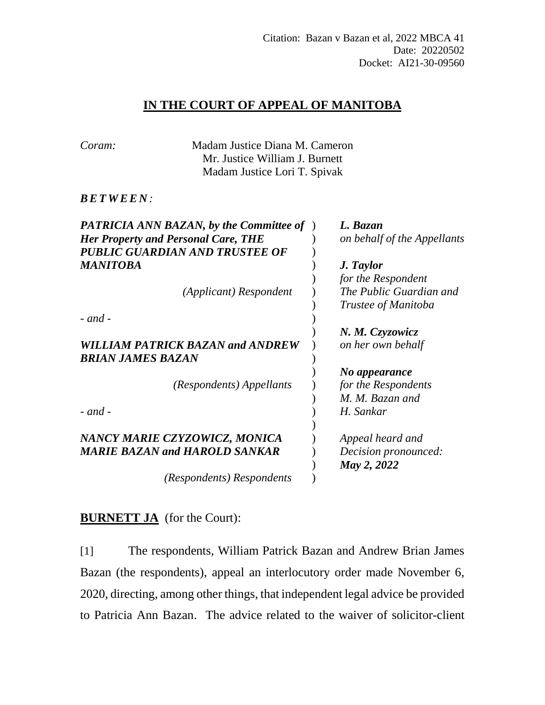## **IN THE COURT OF APPEAL OF MANITOBA**

| Coram:                                         | Madam Justice Diana M. Cameron |                             |
|------------------------------------------------|--------------------------------|-----------------------------|
|                                                | Mr. Justice William J. Burnett |                             |
|                                                | Madam Justice Lori T. Spivak   |                             |
| <b>BETWEEN:</b>                                |                                |                             |
| <b>PATRICIA ANN BAZAN, by the Committee of</b> |                                | L. Bazan                    |
| <b>Her Property and Personal Care, THE</b>     |                                | on behalf of the Appellants |
|                                                | PUBLIC GUARDIAN AND TRUSTEE OF |                             |
| MANITOBA                                       |                                | J. Taylor                   |
|                                                |                                | for the Respondent          |
|                                                | (Applicant) Respondent         | The Public Guardian and     |
|                                                |                                | Trustee of Manitoba         |
| $-$ and $-$                                    |                                |                             |
|                                                |                                | N. M. Czyzowicz             |
| <b>WILLIAM PATRICK BAZAN and ANDREW</b>        |                                | on her own behalf           |
| BRIAN JAMES BAZAN                              |                                |                             |
|                                                |                                | No appearance               |
|                                                | (Respondents) Appellants       | for the Respondents         |
|                                                |                                | M. M. Bazan and             |
| $-$ and $-$                                    |                                | H. Sankar                   |
|                                                |                                |                             |
| NANCY MARIE CZYZOWICZ, MONICA                  |                                | Appeal heard and            |
| <b>MARIE BAZAN and HAROLD SANKAR</b>           |                                | Decision pronounced:        |
|                                                |                                | May 2, 2022                 |
|                                                | (Respondents) Respondents      |                             |

## **BURNETT JA** (for the Court):

[1] The respondents, William Patrick Bazan and Andrew Brian James Bazan (the respondents), appeal an interlocutory order made November 6, 2020, directing, among other things, that independent legal advice be provided to Patricia Ann Bazan. The advice related to the waiver of solicitor-client